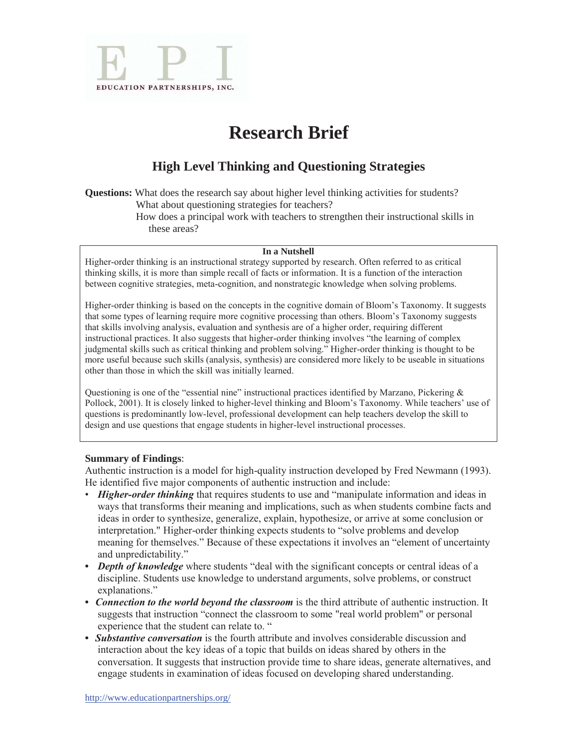

# **Research Brief**

## **High Level Thinking and Questioning Strategies**

**Questions:** What does the research say about higher level thinking activities for students? What about questioning strategies for teachers?

How does a principal work with teachers to strengthen their instructional skills in these areas?

#### **In a Nutshell**

Higher-order thinking is an instructional strategy supported by research. Often referred to as critical thinking skills, it is more than simple recall of facts or information. It is a function of the interaction between cognitive strategies, meta-cognition, and nonstrategic knowledge when solving problems.

Higher-order thinking is based on the concepts in the cognitive domain of Bloom's Taxonomy. It suggests that some types of learning require more cognitive processing than others. Bloom's Taxonomy suggests that skills involving analysis, evaluation and synthesis are of a higher order, requiring different instructional practices. It also suggests that higher-order thinking involves "the learning of complex judgmental skills such as critical thinking and problem solving." Higher-order thinking is thought to be more useful because such skills (analysis, synthesis) are considered more likely to be useable in situations other than those in which the skill was initially learned.

Questioning is one of the "essential nine" instructional practices identified by Marzano, Pickering  $\&$ Pollock, 2001). It is closely linked to higher-level thinking and Bloom's Taxonomy. While teachers' use of questions is predominantly low-level, professional development can help teachers develop the skill to design and use questions that engage students in higher-level instructional processes.

#### **Summary of Findings**:

Authentic instruction is a model for high-quality instruction developed by Fred Newmann (1993). He identified five major components of authentic instruction and include:

- *Higher-order thinking* that requires students to use and "manipulate information and ideas in ways that transforms their meaning and implications, such as when students combine facts and ideas in order to synthesize, generalize, explain, hypothesize, or arrive at some conclusion or interpretation." Higher-order thinking expects students to "solve problems and develop meaning for themselves." Because of these expectations it involves an "element of uncertainty and unpredictability."
- Depth of knowledge where students "deal with the significant concepts or central ideas of a discipline. Students use knowledge to understand arguments, solve problems, or construct explanations."
- *Connection to the world beyond the classroom* is the third attribute of authentic instruction. It suggests that instruction "connect the classroom to some "real world problem" or personal experience that the student can relate to. "
- *Substantive conversation* is the fourth attribute and involves considerable discussion and interaction about the key ideas of a topic that builds on ideas shared by others in the conversation. It suggests that instruction provide time to share ideas, generate alternatives, and engage students in examination of ideas focused on developing shared understanding.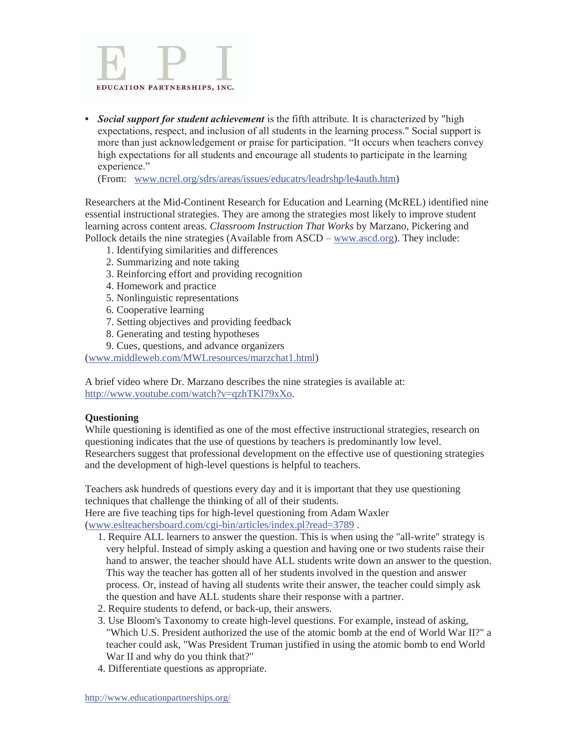

**•** *Social support for student achievement* is the fifth attribute. It is characterized by "high expectations, respect, and inclusion of all students in the learning process." Social support is more than just acknowledgement or praise for participation. "It occurs when teachers convey high expectations for all students and encourage all students to participate in the learning experience."

(From: www.ncrel.org/sdrs/areas/issues/educatrs/leadrshp/le4auth.htm)

Researchers at the Mid-Continent Research for Education and Learning (McREL) identified nine essential instructional strategies. They are among the strategies most likely to improve student learning across content areas. *Classroom Instruction That Works* by Marzano, Pickering and Pollock details the nine strategies (Available from ASCD – www.ascd.org). They include:

- 1. Identifying similarities and differences
- 2. Summarizing and note taking
- 3. Reinforcing effort and providing recognition
- 4. Homework and practice
- 5. Nonlinguistic representations
- 6. Cooperative learning
- 7. Setting objectives and providing feedback
- 8. Generating and testing hypotheses
- 9. Cues, questions, and advance organizers

(www.middleweb.com/MWLresources/marzchat1.html)

A brief video where Dr. Marzano describes the nine strategies is available at: http://www.youtube.com/watch?v=qzhTKl79xXo.

#### **Questioning**

While questioning is identified as one of the most effective instructional strategies, research on questioning indicates that the use of questions by teachers is predominantly low level. Researchers suggest that professional development on the effective use of questioning strategies and the development of high-level questions is helpful to teachers.

Teachers ask hundreds of questions every day and it is important that they use questioning techniques that challenge the thinking of all of their students.

Here are five teaching tips for high-level questioning from Adam Waxler (www.eslteachersboard.com/cgi-bin/articles/index.pl?read=3789 .

- 1. Require ALL learners to answer the question. This is when using the "all-write" strategy is very helpful. Instead of simply asking a question and having one or two students raise their hand to answer, the teacher should have ALL students write down an answer to the question. This way the teacher has gotten all of her students involved in the question and answer process. Or, instead of having all students write their answer, the teacher could simply ask the question and have ALL students share their response with a partner.
- 2. Require students to defend, or back-up, their answers.
- 3. Use Bloom's Taxonomy to create high-level questions. For example, instead of asking, "Which U.S. President authorized the use of the atomic bomb at the end of World War II?" a teacher could ask, "Was President Truman justified in using the atomic bomb to end World War II and why do you think that?"
- 4. Differentiate questions as appropriate.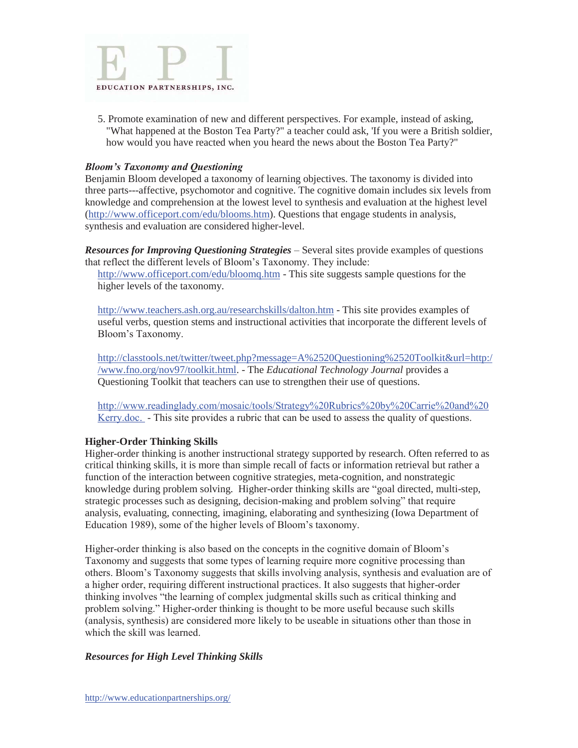

5. Promote examination of new and different perspectives. For example, instead of asking, "What happened at the Boston Tea Party?" a teacher could ask, 'If you were a British soldier, how would you have reacted when you heard the news about the Boston Tea Party?"

#### *Bloom's Taxonomy and Questioning*

Benjamin Bloom developed a taxonomy of learning objectives. The taxonomy is divided into three parts---affective, psychomotor and cognitive. The cognitive domain includes six levels from knowledge and comprehension at the lowest level to synthesis and evaluation at the highest level (http://www.officeport.com/edu/blooms.htm). Questions that engage students in analysis, synthesis and evaluation are considered higher-level.

*Resources for Improving Questioning Strategies* – Several sites provide examples of questions that reflect the different levels of Bloom's Taxonomy. They include:

http://www.officeport.com/edu/bloomq.htm - This site suggests sample questions for the higher levels of the taxonomy.

http://www.teachers.ash.org.au/researchskills/dalton.htm - This site provides examples of useful verbs, question stems and instructional activities that incorporate the different levels of Bloom's Taxonomy.

http://classtools.net/twitter/tweet.php?message=A%2520Questioning%2520Toolkit&url=http:/ /www.fno.org/nov97/toolkit.html. - The *Educational Technology Journal* provides a Questioning Toolkit that teachers can use to strengthen their use of questions.

http://www.readinglady.com/mosaic/tools/Strategy%20Rubrics%20by%20Carrie%20and%20 Kerry.doc. - This site provides a rubric that can be used to assess the quality of questions.

#### **Higher-Order Thinking Skills**

Higher-order thinking is another instructional strategy supported by research. Often referred to as critical thinking skills, it is more than simple recall of facts or information retrieval but rather a function of the interaction between cognitive strategies, meta-cognition, and nonstrategic knowledge during problem solving. Higher-order thinking skills are "goal directed, multi-step, strategic processes such as designing, decision-making and problem solving" that require analysis, evaluating, connecting, imagining, elaborating and synthesizing (Iowa Department of Education 1989), some of the higher levels of Bloom's taxonomy.

Higher-order thinking is also based on the concepts in the cognitive domain of Bloom's Taxonomy and suggests that some types of learning require more cognitive processing than others. Bloom's Taxonomy suggests that skills involving analysis, synthesis and evaluation are of a higher order, requiring different instructional practices. It also suggests that higher-order thinking involves "the learning of complex judgmental skills such as critical thinking and problem solving." Higher-order thinking is thought to be more useful because such skills (analysis, synthesis) are considered more likely to be useable in situations other than those in which the skill was learned.

#### *Resources for High Level Thinking Skills*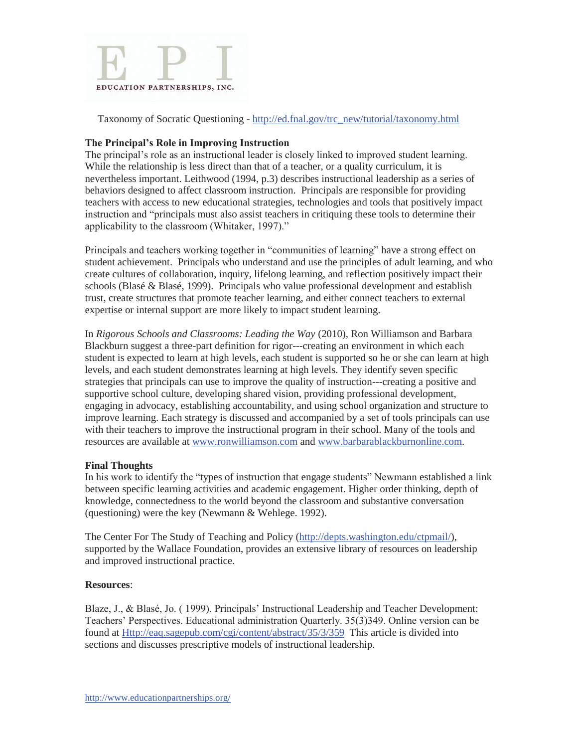

Taxonomy of Socratic Questioning - http://ed.fnal.gov/trc\_new/tutorial/taxonomy.html

### **The Principal's Role in Improving Instruction**

The principal's role as an instructional leader is closely linked to improved student learning. While the relationship is less direct than that of a teacher, or a quality curriculum, it is nevertheless important. Leithwood (1994, p.3) describes instructional leadership as a series of behaviors designed to affect classroom instruction. Principals are responsible for providing teachers with access to new educational strategies, technologies and tools that positively impact instruction and "principals must also assist teachers in critiquing these tools to determine their applicability to the classroom (Whitaker, 1997)."

Principals and teachers working together in "communities of learning" have a strong effect on student achievement. Principals who understand and use the principles of adult learning, and who create cultures of collaboration, inquiry, lifelong learning, and reflection positively impact their schools (Blasé & Blasé, 1999). Principals who value professional development and establish trust, create structures that promote teacher learning, and either connect teachers to external expertise or internal support are more likely to impact student learning.

In *Rigorous Schools and Classrooms: Leading the Way* (2010), Ron Williamson and Barbara Blackburn suggest a three-part definition for rigor---creating an environment in which each student is expected to learn at high levels, each student is supported so he or she can learn at high levels, and each student demonstrates learning at high levels. They identify seven specific strategies that principals can use to improve the quality of instruction---creating a positive and supportive school culture, developing shared vision, providing professional development, engaging in advocacy, establishing accountability, and using school organization and structure to improve learning. Each strategy is discussed and accompanied by a set of tools principals can use with their teachers to improve the instructional program in their school. Many of the tools and resources are available at www.ronwilliamson.com and www.barbarablackburnonline.com.

#### **Final Thoughts**

In his work to identify the "types of instruction that engage students" Newmann established a link between specific learning activities and academic engagement. Higher order thinking, depth of knowledge, connectedness to the world beyond the classroom and substantive conversation (questioning) were the key (Newmann & Wehlege. 1992).

The Center For The Study of Teaching and Policy (http://depts.washington.edu/ctpmail/), supported by the Wallace Foundation, provides an extensive library of resources on leadership and improved instructional practice.

#### **Resources**:

Blaze, J., & Blasé, Jo. ( 1999). Principals' Instructional Leadership and Teacher Development: Teachers' Perspectives. Educational administration Quarterly. 35(3)349. Online version can be found at Http://eaq.sagepub.com/cgi/content/abstract/35/3/359 This article is divided into sections and discusses prescriptive models of instructional leadership.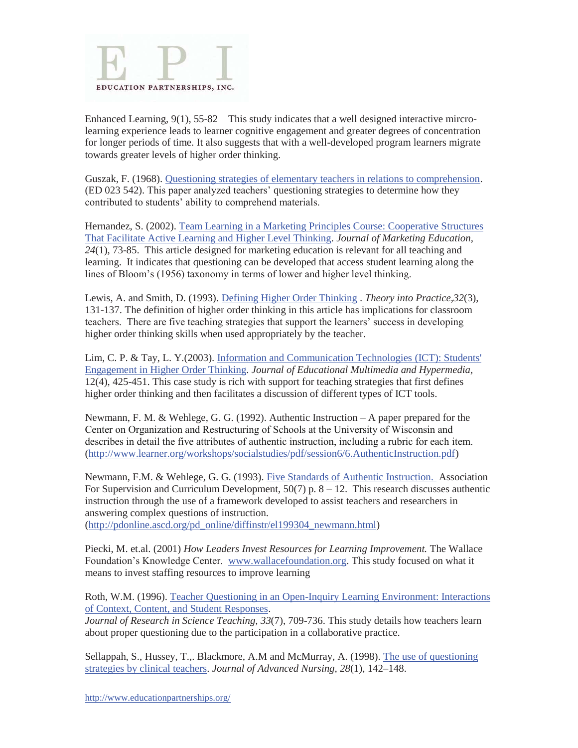

Enhanced Learning, 9(1), 55-82 This study indicates that a well designed interactive mircrolearning experience leads to learner cognitive engagement and greater degrees of concentration for longer periods of time. It also suggests that with a well-developed program learners migrate towards greater levels of higher order thinking.

Guszak, F. (1968). Questioning strategies of elementary teachers in relations to comprehension. (ED 023 542). This paper analyzed teachers' questioning strategies to determine how they contributed to students' ability to comprehend materials.

Hernandez, S. (2002). Team Learning in a Marketing Principles Course: Cooperative Structures That Facilitate Active Learning and Higher Level Thinking. *Journal of Marketing Education, 24*(1), 73-85. This article designed for marketing education is relevant for all teaching and learning. It indicates that questioning can be developed that access student learning along the lines of Bloom's (1956) taxonomy in terms of lower and higher level thinking.

Lewis, A. and Smith, D. (1993). Defining Higher Order Thinking . *Theory into Practice,32*(3), 131-137. The definition of higher order thinking in this article has implications for classroom teachers. There are five teaching strategies that support the learners' success in developing higher order thinking skills when used appropriately by the teacher.

Lim, C. P. & Tay, L. Y.(2003). Information and Communication Technologies (ICT): Students' Engagement in Higher Order Thinking. *Journal of Educational Multimedia and Hypermedia,* 12(4), 425-451. This case study is rich with support for teaching strategies that first defines higher order thinking and then facilitates a discussion of different types of ICT tools.

Newmann, F. M. & Wehlege, G. G. (1992). Authentic Instruction – A paper prepared for the Center on Organization and Restructuring of Schools at the University of Wisconsin and describes in detail the five attributes of authentic instruction, including a rubric for each item. (http://www.learner.org/workshops/socialstudies/pdf/session6/6.AuthenticInstruction.pdf)

Newmann, F.M. & Wehlege, G. G. (1993). Five Standards of Authentic Instruction. Association For Supervision and Curriculum Development,  $50(7)$  p.  $8 - 12$ . This research discusses authentic instruction through the use of a framework developed to assist teachers and researchers in answering complex questions of instruction.

(http://pdonline.ascd.org/pd\_online/diffinstr/el199304\_newmann.html)

Piecki, M. et.al. (2001) *How Leaders Invest Resources for Learning Improvement.* The Wallace Foundation's Knowledge Center. www.wallacefoundation.org. This study focused on what it means to invest staffing resources to improve learning

Roth, W.M. (1996). Teacher Questioning in an Open-Inquiry Learning Environment: Interactions of Context, Content, and Student Responses.

*Journal of Research in Science Teaching, 33*(7), 709-736. This study details how teachers learn about proper questioning due to the participation in a collaborative practice.

Sellappah, S., Hussey, T.,. Blackmore, A.M and McMurray, A. (1998). The use of questioning strategies by clinical teachers. *Journal of Advanced Nursing, 28*(1), 142–148.